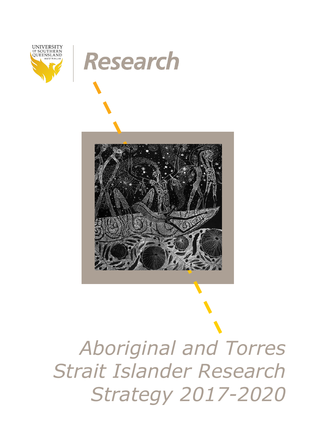

# **Research**



*Aboriginal and Torres Strait Islander Research Strategy 2017-2020*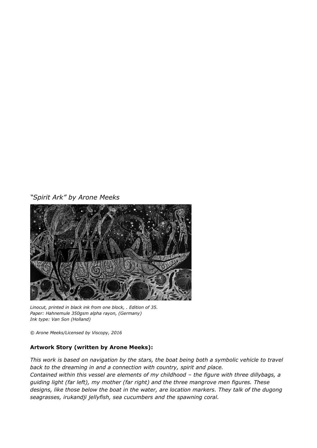### *"Spirit Ark" by Arone Meeks*



*Linocut, printed in black ink from one block, . Edition of 35. Paper: Hahnemule 350gsm alpha rayon, (Germany) Ink type: Van Son (Holland)*

*© Arone Meeks/Licensed by Viscopy, 2016*

### **Artwork Story (written by Arone Meeks):**

*This work is based on navigation by the stars, the boat being both a symbolic vehicle to travel back to the dreaming in and a connection with country, spirit and place. Contained within this vessel are elements of my childhood - the figure with three dillybags, a guiding light (far left), my mother (far right) and the three mangrove men figures. These designs, like those below the boat in the water, are location markers. They talk of the dugong seagrasses, irukandji jellyfish, sea cucumbers and the spawning coral.*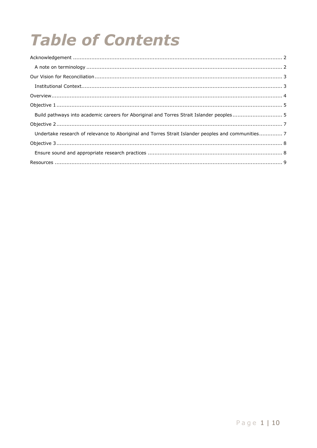# **Table of Contents**

| Undertake research of relevance to Aboriginal and Torres Strait Islander peoples and communities7 |  |
|---------------------------------------------------------------------------------------------------|--|
|                                                                                                   |  |
|                                                                                                   |  |
|                                                                                                   |  |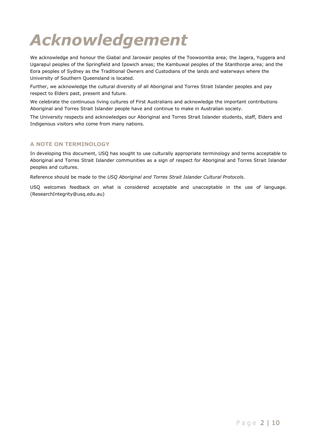# <span id="page-3-0"></span>*Acknowledgement*

We acknowledge and honour the Giabal and Jarowair peoples of the Toowoomba area; the Jagera, Yuggera and Ugarapul peoples of the Springfield and Ipswich areas; the Kambuwal peoples of the Stanthorpe area; and the Eora peoples of Sydney as the Traditional Owners and Custodians of the lands and waterways where the University of Southern Queensland is located.

Further, we acknowledge the cultural diversity of all Aboriginal and Torres Strait Islander peoples and pay respect to Elders past, present and future.

We celebrate the continuous living cultures of First Australians and acknowledge the important contributions Aboriginal and Torres Strait Islander people have and continue to make in Australian society.

The University respects and acknowledges our Aboriginal and Torres Strait Islander students, staff, Elders and Indigenous visitors who come from many nations.

#### <span id="page-3-1"></span>**A NOTE ON TERMINOLOGY**

In developing this document, USQ has sought to use culturally appropriate terminology and terms acceptable to Aboriginal and Torres Strait Islander communities as a sign of respect for Aboriginal and Torres Strait Islander peoples and cultures.

Reference should be made to the *USQ Aboriginal and Torres Strait Islander Cultural Protocols.*

USQ welcomes feedback on what is considered acceptable and unacceptable in the use of language. (ResearchIntegrity@usq.edu.au)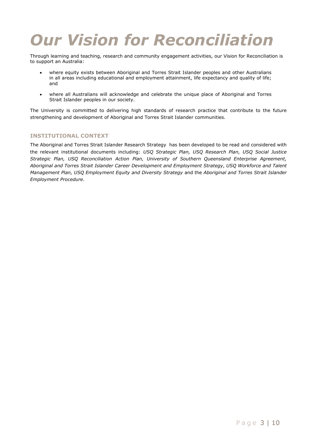## <span id="page-4-0"></span>*Our Vision for Reconciliation*

Through learning and teaching, research and community engagement activities, our Vision for Reconciliation is to support an Australia:

- where equity exists between Aboriginal and Torres Strait Islander peoples and other Australians in all areas including educational and employment attainment, life expectancy and quality of life; and
- where all Australians will acknowledge and celebrate the unique place of Aboriginal and Torres Strait Islander peoples in our society.

The University is committed to delivering high standards of research practice that contribute to the future strengthening and development of Aboriginal and Torres Strait Islander communities.

#### <span id="page-4-1"></span>**INSTITUTIONAL CONTEXT**

The Aboriginal and Torres Strait Islander Research Strategy has been developed to be read and considered with the relevant institutional documents including: *USQ Strategic Plan, USQ Research Plan, USQ Social Justice Strategic Plan, USQ Reconciliation Action Plan, University of Southern Queensland Enterprise Agreement, Aboriginal and Torres Strait Islander Career Development and Employment Strategy*, *USQ Workforce and Talent Management Plan, USQ Employment Equity and Diversity Strategy* and the *Aboriginal and Torres Strait Islander Employment Procedure*.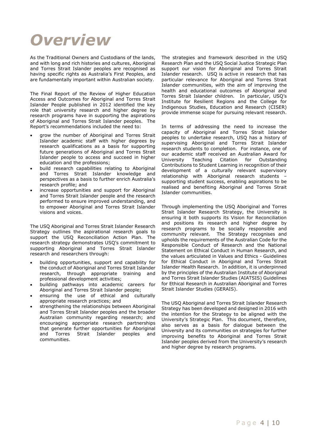### <span id="page-5-0"></span>*Overview*

As the Traditional Owners and Custodians of the lands, and with long and rich histories and cultures, Aboriginal and Torres Strait Islander peoples are recognised as having specific rights as Australia's First Peoples, and are fundamentally important within Australian society.

The Final Report of the Review of Higher Education Access and Outcomes for Aboriginal and Torres Strait Islander People published in 2012 identified the key role that university research and higher degree by research programs have in supporting the aspirations of Aboriginal and Torres Strait Islander peoples. The Report's recommendations included the need to:

- grow the number of Aboriginal and Torres Strait Islander academic staff with higher degrees by research qualifications as a basis for supporting future generations of Aboriginal and Torres Strait Islander people to access and succeed in higher education and the professions;
- build research capabilities relating to Aboriginal and Torres Strait Islander knowledge and perspectives as a basis to further enrich Australia's research profile; and
- increase opportunities and support for Aboriginal and Torres Strait Islander people and the research performed to ensure improved understanding, and to empower Aboriginal and Torres Strait Islander visions and voices.

The USQ Aboriginal and Torres Strait Islander Research Strategy outlines the aspirational research goals to support the USQ Reconciliation Action Plan. The research strategy demonstrates USQ's commitment to supporting Aboriginal and Torres Strait Islander research and researchers through:

- building opportunities, support and capability for the conduct of Aboriginal and Torres Strait Islander research, through appropriate training and professional development activities;
- building pathways into academic careers for Aboriginal and Torres Strait Islander people;
- ensuring the use of ethical and culturally appropriate research practices; and
- strengthening the relationships between Aboriginal and Torres Strait Islander peoples and the broader Australian community regarding research; and encouraging appropriate research partnerships that generate further opportunities for Aboriginal and Torres Strait Islander peoples and communities.

The strategies and framework described in the USQ Research Plan and the USQ Social Justice Strategic Plan support our vision for Aboriginal and Torres Strait Islander research. USQ is active in research that has particular relevance for Aboriginal and Torres Strait Islander communities, with the aim of improving the health and educational outcomes of Aboriginal and Torres Strait Islander children. In particular, USQ's Institute for Resilient Regions and the College for Indigenous Studies, Education and Research (CISER) provide immense scope for pursuing relevant research.

In terms of addressing the need to increase the capacity of Aboriginal and Torres Strait Islander peoples to undertake research, USQ has a history of supervising Aboriginal and Torres Strait Islander research students to completion. For instance, one of our academic staff received an Australian Award for<br>University Teaching Citation for Outstanding University Teaching Citation for Outstanding Contributions to Student Learning in recognition of their development of a culturally relevant supervisory relationship with Aboriginal research students – supporting student success, enabling aspirations to be realised and benefiting Aboriginal and Torres Strait Islander communities.

Through implementing the USQ Aboriginal and Torres Strait Islander Research Strategy, the University is ensuring it both supports its Vision for Reconciliation and positions its research and higher degree by research programs to be socially responsible and community relevant. The Strategy recognises and upholds the requirements of the Australian Code for the Responsible Conduct of Research and the National Statement on Ethical Conduct in Human Research, and the values articulated in Values and Ethics - Guidelines for Ethical Conduct in Aboriginal and Torres Strait Islander Health Research. In addition, it is underpinned by the principles of the Australian Institute of Aboriginal and Torres Strait Islander Studies (AIATSIS) Guidelines for Ethical Research in Australian Aboriginal and Torres Strait Islander Studies (GERAIS).

The USQ Aboriginal and Torres Strait Islander Research Strategy has been developed and designed in 2016 with the intention for the Strategy to be aligned with the University's Strategic Plan. This document, therefore, also serves as a basis for dialogue between the University and its communities on strategies for further improving benefits to Aboriginal and Torres Strait Islander peoples derived from the University's research and higher degree by research programs.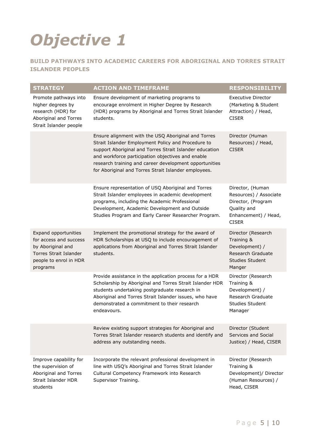# <span id="page-6-0"></span>*Objective 1*

### <span id="page-6-1"></span>**BUILD PATHWAYS INTO ACADEMIC CAREERS FOR ABORIGINAL AND TORRES STRAIT ISLANDER PEOPLES**

| <b>STRATEGY</b>                                                                                                                            | <b>ACTION AND TIMEFRAME</b>                                                                                                                                                                                                                                                                                                                 | <b>RESPONSIBILITY</b>                                                                                                   |
|--------------------------------------------------------------------------------------------------------------------------------------------|---------------------------------------------------------------------------------------------------------------------------------------------------------------------------------------------------------------------------------------------------------------------------------------------------------------------------------------------|-------------------------------------------------------------------------------------------------------------------------|
| Promote pathways into<br>higher degrees by<br>research (HDR) for<br>Aboriginal and Torres<br>Strait Islander people                        | Ensure development of marketing programs to<br>encourage enrolment in Higher Degree by Research<br>(HDR) programs by Aboriginal and Torres Strait Islander<br>students.                                                                                                                                                                     | <b>Executive Director</b><br>(Marketing & Student<br>Attraction) / Head,<br><b>CISER</b>                                |
|                                                                                                                                            | Ensure alignment with the USQ Aboriginal and Torres<br>Strait Islander Employment Policy and Procedure to<br>support Aboriginal and Torres Strait Islander education<br>and workforce participation objectives and enable<br>research training and career development opportunities<br>for Aboriginal and Torres Strait Islander employees. | Director (Human<br>Resources) / Head,<br><b>CISER</b>                                                                   |
|                                                                                                                                            | Ensure representation of USQ Aboriginal and Torres<br>Strait Islander employees in academic development<br>programs, including the Academic Professional<br>Development, Academic Development and Outside<br>Studies Program and Early Career Researcher Program.                                                                           | Director, (Human<br>Resources) / Associate<br>Director, (Program<br>Quality and<br>Enhancement) / Head,<br><b>CISER</b> |
| <b>Expand opportunities</b><br>for access and success<br>by Aboriginal and<br>Torres Strait Islander<br>people to enrol in HDR<br>programs | Implement the promotional strategy for the award of<br>HDR Scholarships at USQ to include encouragement of<br>applications from Aboriginal and Torres Strait Islander<br>students.                                                                                                                                                          | Director (Research<br>Training &<br>Development) /<br>Research Graduate<br><b>Studies Student</b><br>Manger             |
|                                                                                                                                            | Provide assistance in the application process for a HDR<br>Scholarship by Aboriginal and Torres Strait Islander HDR<br>students undertaking postgraduate research in<br>Aboriginal and Torres Strait Islander issues, who have<br>demonstrated a commitment to their research<br>endeavours.                                                | Director (Research<br>Training &<br>Development) /<br>Research Graduate<br>Studies Student<br>Manager                   |
|                                                                                                                                            | Review existing support strategies for Aboriginal and<br>Torres Strait Islander research students and identify and<br>address any outstanding needs.                                                                                                                                                                                        | Director (Student<br>Services and Social<br>Justice) / Head, CISER                                                      |
| Improve capability for<br>the supervision of<br>Aboriginal and Torres<br><b>Strait Islander HDR</b><br>students                            | Incorporate the relevant professional development in<br>line with USQ's Aboriginal and Torres Strait Islander<br>Cultural Competency Framework into Research<br>Supervisor Training.                                                                                                                                                        | Director (Research<br>Training &<br>Development)/ Director<br>(Human Resources) /<br>Head, CISER                        |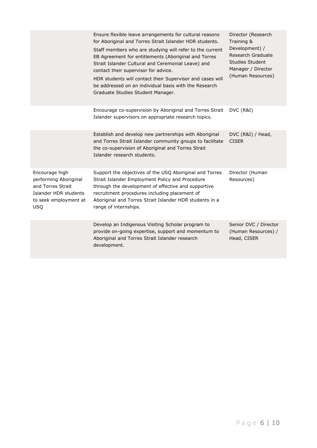|                                                                                                                              | Ensure flexible leave arrangements for cultural reasons<br>for Aboriginal and Torres Strait Islander HDR students.<br>Staff members who are studying will refer to the current<br>EB Agreement for entitlements (Aboriginal and Torres<br>Strait Islander Cultural and Ceremonial Leave) and<br>contact their supervisor for advice.<br>HDR students will contact their Supervisor and cases will<br>be addressed on an individual basis with the Research<br>Graduate Studies Student Manager. | Director (Research<br>Training &<br>Development) /<br>Research Graduate<br>Studies Student<br>Manager / Director<br>(Human Resources) |
|------------------------------------------------------------------------------------------------------------------------------|-------------------------------------------------------------------------------------------------------------------------------------------------------------------------------------------------------------------------------------------------------------------------------------------------------------------------------------------------------------------------------------------------------------------------------------------------------------------------------------------------|---------------------------------------------------------------------------------------------------------------------------------------|
|                                                                                                                              | Encourage co-supervision by Aboriginal and Torres Strait<br>Islander supervisors on appropriate research topics.                                                                                                                                                                                                                                                                                                                                                                                | DVC (R&I)                                                                                                                             |
|                                                                                                                              | Establish and develop new partnerships with Aboriginal<br>and Torres Strait Islander community groups to facilitate<br>the co-supervision of Aboriginal and Torres Strait<br>Islander research students.                                                                                                                                                                                                                                                                                        | DVC (R&I) / Head,<br><b>CISER</b>                                                                                                     |
| Encourage high<br>performing Aboriginal<br>and Torres Strait<br>Islander HDR students<br>to seek employment at<br><b>USQ</b> | Support the objectives of the USQ Aboriginal and Torres<br>Strait Islander Employment Policy and Procedure<br>through the development of effective and supportive<br>recruitment procedures including placement of<br>Aboriginal and Torres Strait Islander HDR students in a<br>range of internships.                                                                                                                                                                                          | Director (Human<br>Resources)                                                                                                         |
|                                                                                                                              | Develop an Indigenous Visiting Scholar program to<br>provide on-going expertise, support and momentum to<br>Aboriginal and Torres Strait Islander research<br>development.                                                                                                                                                                                                                                                                                                                      | Senior DVC / Director<br>(Human Resources) /<br>Head, CISER                                                                           |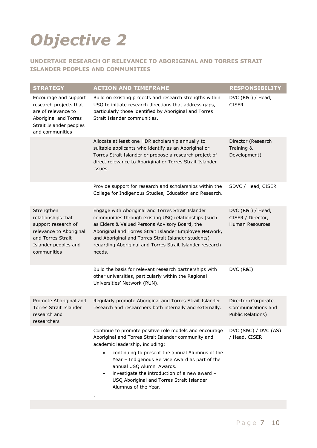# <span id="page-8-0"></span>*Objective 2*

### <span id="page-8-1"></span>**UNDERTAKE RESEARCH OF RELEVANCE TO ABORIGINAL AND TORRES STRAIT ISLANDER PEOPLES AND COMMUNITIES**

| <b>STRATEGY</b>                                                                                                                                | <b>ACTION AND TIMEFRAME</b>                                                                                                                                                                                                                                                                                                                                                                                                        | <b>RESPONSIBILITY</b>                                            |
|------------------------------------------------------------------------------------------------------------------------------------------------|------------------------------------------------------------------------------------------------------------------------------------------------------------------------------------------------------------------------------------------------------------------------------------------------------------------------------------------------------------------------------------------------------------------------------------|------------------------------------------------------------------|
| Encourage and support<br>research projects that<br>are of relevance to<br>Aboriginal and Torres<br>Strait Islander peoples<br>and communities  | Build on existing projects and research strengths within<br>USQ to initiate research directions that address gaps,<br>particularly those identified by Aboriginal and Torres<br>Strait Islander communities.                                                                                                                                                                                                                       | DVC (R&I) / Head,<br><b>CISER</b>                                |
|                                                                                                                                                | Allocate at least one HDR scholarship annually to<br>suitable applicants who identify as an Aboriginal or<br>Torres Strait Islander or propose a research project of<br>direct relevance to Aboriginal or Torres Strait Islander<br>issues.                                                                                                                                                                                        | Director (Research<br>Training &<br>Development)                 |
|                                                                                                                                                | Provide support for research and scholarships within the<br>College for Indigenous Studies, Education and Research.                                                                                                                                                                                                                                                                                                                | SDVC / Head, CISER                                               |
| Strengthen<br>relationships that<br>support research of<br>relevance to Aboriginal<br>and Torres Strait<br>Islander peoples and<br>communities | Engage with Aboriginal and Torres Strait Islander<br>communities through existing USQ relationships (such<br>as Elders & Valued Persons Advisory Board, the<br>Aboriginal and Torres Strait Islander Employee Network,<br>and Aboriginal and Torres Strait Islander students)<br>regarding Aboriginal and Torres Strait Islander research<br>needs.                                                                                | DVC (R&I) / Head,<br>CISER / Director,<br><b>Human Resources</b> |
|                                                                                                                                                | Build the basis for relevant research partnerships with<br>other universities, particularly within the Regional<br>Universities' Network (RUN).                                                                                                                                                                                                                                                                                    | DVC (R&I)                                                        |
| Promote Aboriginal and<br><b>Torres Strait Islander</b><br>research and<br>researchers                                                         | Regularly promote Aboriginal and Torres Strait Islander<br>research and researchers both internally and externally.                                                                                                                                                                                                                                                                                                                | Director (Corporate<br>Communications and<br>Public Relations)   |
|                                                                                                                                                | Continue to promote positive role models and encourage<br>Aboriginal and Torres Strait Islander community and<br>academic leadership, including:<br>continuing to present the annual Alumnus of the<br>$\bullet$<br>Year - Indigenous Service Award as part of the<br>annual USQ Alumni Awards.<br>investigate the introduction of a new award -<br>$\bullet$<br>USQ Aboriginal and Torres Strait Islander<br>Alumnus of the Year. | DVC (S&C) / DVC (AS)<br>/ Head, CISER                            |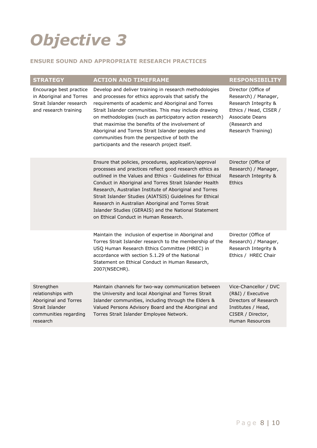# <span id="page-9-0"></span>*Objective 3*

### <span id="page-9-1"></span>**ENSURE SOUND AND APPROPRIATE RESEARCH PRACTICES**

| <b>STRATEGY</b>                                                                                                   | <b>ACTION AND TIMEFRAME</b>                                                                                                                                                                                                                                                                                                                                                                                                                                                                                               | <b>RESPONSIBILITY</b>                                                                                                                                          |
|-------------------------------------------------------------------------------------------------------------------|---------------------------------------------------------------------------------------------------------------------------------------------------------------------------------------------------------------------------------------------------------------------------------------------------------------------------------------------------------------------------------------------------------------------------------------------------------------------------------------------------------------------------|----------------------------------------------------------------------------------------------------------------------------------------------------------------|
| Encourage best practice<br>in Aboriginal and Torres<br>Strait Islander research<br>and research training          | Develop and deliver training in research methodologies<br>and processes for ethics approvals that satisfy the<br>requirements of academic and Aboriginal and Torres<br>Strait Islander communities. This may include drawing<br>on methodologies (such as participatory action research)<br>that maximise the benefits of the involvement of<br>Aboriginal and Torres Strait Islander peoples and<br>communities from the perspective of both the<br>participants and the research project itself.                        | Director (Office of<br>Research) / Manager,<br>Research Integrity &<br>Ethics / Head, CISER /<br><b>Associate Deans</b><br>(Research and<br>Research Training) |
|                                                                                                                   | Ensure that policies, procedures, application/approval<br>processes and practices reflect good research ethics as<br>outlined in the Values and Ethics - Guidelines for Ethical<br>Conduct in Aboriginal and Torres Strait Islander Health<br>Research, Australian Institute of Aboriginal and Torres<br>Strait Islander Studies (AIATSIS) Guidelines for Ethical<br>Research in Australian Aboriginal and Torres Strait<br>Islander Studies (GERAIS) and the National Statement<br>on Ethical Conduct in Human Research. | Director (Office of<br>Research) / Manager,<br>Research Integrity &<br>Ethics                                                                                  |
|                                                                                                                   | Maintain the inclusion of expertise in Aboriginal and<br>Torres Strait Islander research to the membership of the<br>USQ Human Research Ethics Committee (HREC) in<br>accordance with section 5.1.29 of the National<br>Statement on Ethical Conduct in Human Research,<br>2007(NSECHR).                                                                                                                                                                                                                                  | Director (Office of<br>Research) / Manager,<br>Research Integrity &<br>Ethics / HREC Chair                                                                     |
| Strengthen<br>relationships with<br>Aboriginal and Torres<br>Strait Islander<br>communities regarding<br>research | Maintain channels for two-way communication between<br>the University and local Aboriginal and Torres Strait<br>Islander communities, including through the Elders &<br>Valued Persons Advisory Board and the Aboriginal and<br>Torres Strait Islander Employee Network.                                                                                                                                                                                                                                                  | Vice-Chancellor / DVC<br>(R&I) / Executive<br>Directors of Research<br>Institutes / Head,<br>CISER / Director,<br><b>Human Resources</b>                       |